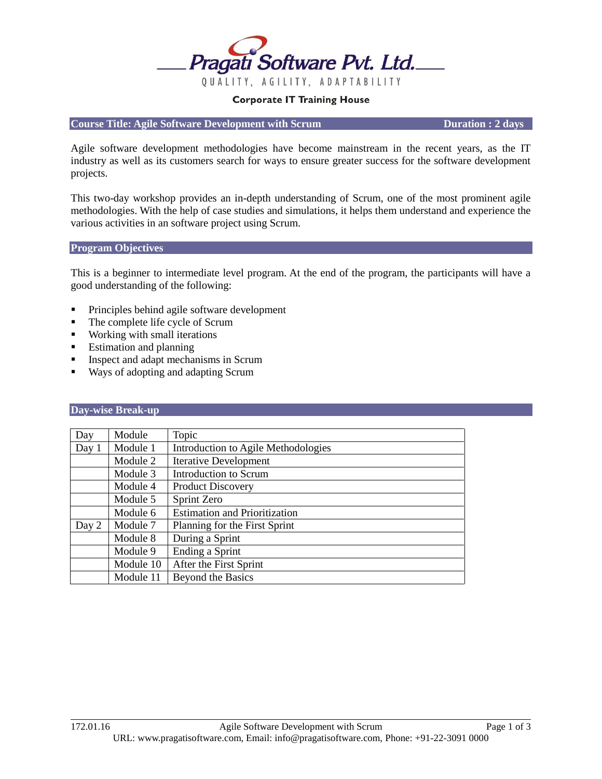

#### **Corporate IT Training House**

**Course Title: Agile Software Development with Scrum Duration : 2 days** 

Agile software development methodologies have become mainstream in the recent years, as the IT industry as well as its customers search for ways to ensure greater success for the software development projects.

This two-day workshop provides an in-depth understanding of Scrum, one of the most prominent agile methodologies. With the help of case studies and simulations, it helps them understand and experience the various activities in an software project using Scrum.

#### **Program Objectives**

This is a beginner to intermediate level program. At the end of the program, the participants will have a good understanding of the following:

- Principles behind agile software development
- The complete life cycle of Scrum
- **Working with small iterations**
- **Estimation and planning**
- Inspect and adapt mechanisms in Scrum
- Ways of adopting and adapting Scrum

#### **Day-wise Break-up**

| Day   | Module    | Topic                                |
|-------|-----------|--------------------------------------|
| Day 1 | Module 1  | Introduction to Agile Methodologies  |
|       | Module 2  | <b>Iterative Development</b>         |
|       | Module 3  | Introduction to Scrum                |
|       | Module 4  | <b>Product Discovery</b>             |
|       | Module 5  | Sprint Zero                          |
|       | Module 6  | <b>Estimation and Prioritization</b> |
| Day 2 | Module 7  | Planning for the First Sprint        |
|       | Module 8  | During a Sprint                      |
|       | Module 9  | Ending a Sprint                      |
|       | Module 10 | After the First Sprint               |
|       | Module 11 | Beyond the Basics                    |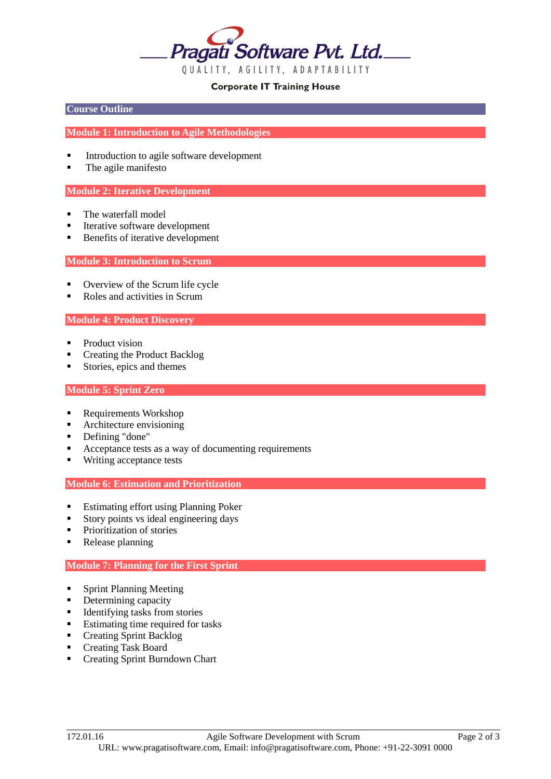

### **Corporate IT Training House**

### **Course Outline**

### **Module 1: Introduction to Agile Methodologies**

- Introduction to agile software development
- The agile manifesto

### **Module 2: Iterative Development**

- The waterfall model
- Iterative software development
- Benefits of iterative development

#### **Module 3: Introduction to Scrum**

- Overview of the Scrum life cycle
- Roles and activities in Scrum

### **Module 4: Product Discovery**

- Product vision
- Creating the Product Backlog
- Stories, epics and themes

#### **Module 5: Sprint Zero**

- Requirements Workshop
- Architecture envisioning
- Defining "done"
- Acceptance tests as a way of documenting requirements
- Writing acceptance tests

#### **Module 6: Estimation and Prioritization**

- **Estimating effort using Planning Poker**
- Story points vs ideal engineering days
- Prioritization of stories
- Release planning

# **Module 7: Planning for the First Sprint**

- **Sprint Planning Meeting**
- Determining capacity
- $\blacksquare$  Identifying tasks from stories
- Estimating time required for tasks
- **Creating Sprint Backlog**
- Creating Task Board
- **•** Creating Sprint Burndown Chart